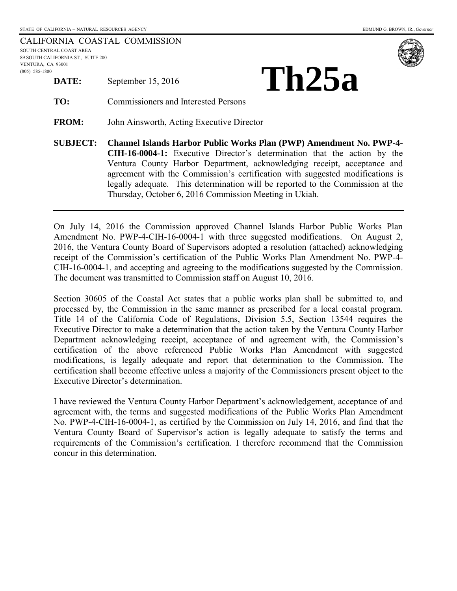|                                    |  | CALIFORNIA COASTAL COMMISSION |
|------------------------------------|--|-------------------------------|
| SOUTH CENTRAL COAST AREA           |  |                               |
| 89 SOUTH CALIFORNIA ST., SUITE 200 |  |                               |
| VENTURA, CA 93001                  |  |                               |
| $(805)$ 585-1800                   |  |                               |
| DATE:                              |  | September 15, 2016            |





**TO:** Commissioners and Interested Persons

**FROM:** John Ainsworth, Acting Executive Director

**SUBJECT: Channel Islands Harbor Public Works Plan (PWP) Amendment No. PWP-4- CIH-16-0004-1:** Executive Director's determination that the action by the Ventura County Harbor Department, acknowledging receipt, acceptance and agreement with the Commission's certification with suggested modifications is legally adequate. This determination will be reported to the Commission at the Thursday, October 6, 2016 Commission Meeting in Ukiah.

On July 14, 2016 the Commission approved Channel Islands Harbor Public Works Plan Amendment No. PWP-4-CIH-16-0004-1 with three suggested modifications. On August 2, 2016, the Ventura County Board of Supervisors adopted a resolution (attached) acknowledging receipt of the Commission's certification of the Public Works Plan Amendment No. PWP-4- CIH-16-0004-1, and accepting and agreeing to the modifications suggested by the Commission. The document was transmitted to Commission staff on August 10, 2016.

Section 30605 of the Coastal Act states that a public works plan shall be submitted to, and processed by, the Commission in the same manner as prescribed for a local coastal program. Title 14 of the California Code of Regulations, Division 5.5, Section 13544 requires the Executive Director to make a determination that the action taken by the Ventura County Harbor Department acknowledging receipt, acceptance of and agreement with, the Commission's certification of the above referenced Public Works Plan Amendment with suggested modifications, is legally adequate and report that determination to the Commission. The certification shall become effective unless a majority of the Commissioners present object to the Executive Director's determination.

I have reviewed the Ventura County Harbor Department's acknowledgement, acceptance of and agreement with, the terms and suggested modifications of the Public Works Plan Amendment No. PWP-4-CIH-16-0004-1, as certified by the Commission on July 14, 2016, and find that the Ventura County Board of Supervisor's action is legally adequate to satisfy the terms and requirements of the Commission's certification. I therefore recommend that the Commission concur in this determination.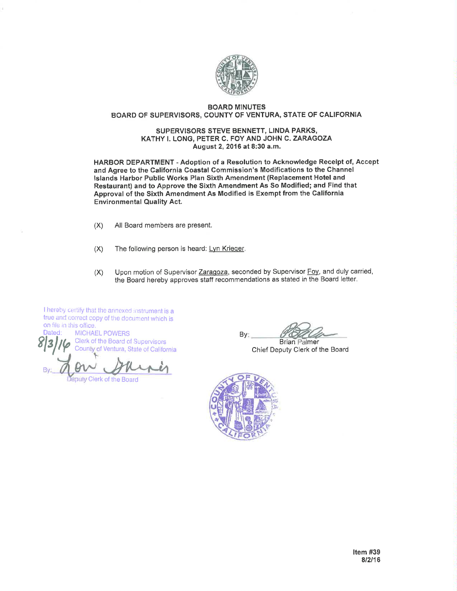

## **BOARD MINUTES** BOARD OF SUPERVISORS, COUNTY OF VENTURA, STATE OF CALIFORNIA

## SUPERVISORS STEVE BENNETT, LINDA PARKS, KATHY I. LONG, PETER C. FOY AND JOHN C. ZARAGOZA August 2, 2016 at 8:30 a.m.

HARBOR DEPARTMENT - Adoption of a Resolution to Acknowledge Receipt of, Accept and Agree to the California Coastal Commission's Modifications to the Channel Islands Harbor Public Works Plan Sixth Amendment (Replacement Hotel and Restaurant) and to Approve the Sixth Amendment As So Modified; and Find that Approval of the Sixth Amendment As Modified is Exempt from the California **Environmental Quality Act.** 

- $(X)$ All Board members are present.
- $(X)$ The following person is heard: Lyn Krieger.
- Upon motion of Supervisor Zaragoza, seconded by Supervisor Foy, and duly carried,  $(X)$ the Board hereby approves staff recommendations as stated in the Board letter.

I hereby certify that the annexed instrument is a true and correct copy of the document which is on file in this office.

Dated: **MICHAEL POWERS** Clerk of the Board of Supervisors County of Ventura, State of California

Jeputy Clerk of the Board

By: **Brian Palmer** 

Chief Deputy Clerk of the Board

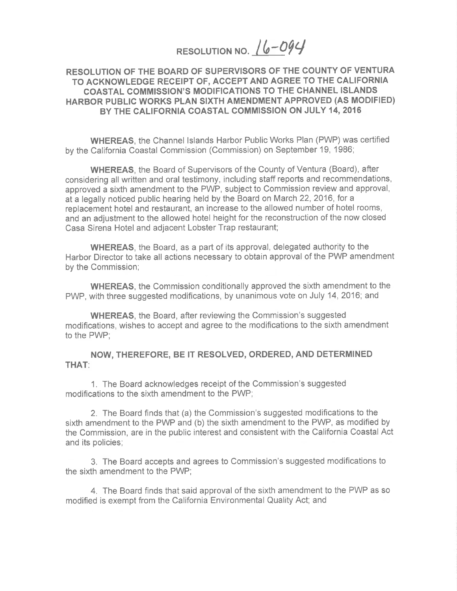RESOLUTION NO. 16-094

## RESOLUTION OF THE BOARD OF SUPERVISORS OF THE COUNTY OF VENTURA TO ACKNOWLEDGE RECEIPT OF, ACCEPT AND AGREE TO THE CALIFORNIA COASTAL COMMISSION'S MODIFICATIONS TO THE CHANNEL ISLANDS HARBOR PUBLIC WORKS PLAN SIXTH AMENDMENT APPROVED (AS MODIFIED) BY THE CALIFORNIA COASTAL COMMISSION ON JULY 14, 2016

**WHEREAS, the Channel Islands Harbor Public Works Plan (PWP) was certified** by the California Coastal Commission (Commission) on September 19, 1986;

**WHEREAS**, the Board of Supervisors of the County of Ventura (Board), after considering all written and oral testimony, including staff reports and recommendations, approved a sixth amendment to the PWP, subject to Commission review and approval, at a legally noticed public hearing held by the Board on March 22, 2016, for a replacement hotel and restaurant, an increase to the allowed number of hotel rooms, and an adjustment to the allowed hotel height for the reconstruction of the now closed Casa Sirena Hotel and adjacent Lobster Trap restaurant;

**WHEREAS**, the Board, as a part of its approval, delegated authority to the Harbor Director to take all actions necessary to obtain approval of the PWP amendment by the Commission;

**WHEREAS**, the Commission conditionally approved the sixth amendment to the PWP, with three suggested modifications, by unanimous vote on July 14, 2016; and

**WHEREAS, the Board, after reviewing the Commission's suggested** modifications, wishes to accept and agree to the modifications to the sixth amendment to the PWP;

NOW, THEREFORE, BE IT RESOLVED, ORDERED, AND DETERMINED **THAT:** 

1. The Board acknowledges receipt of the Commission's suggested modifications to the sixth amendment to the PWP;

2. The Board finds that (a) the Commission's suggested modifications to the sixth amendment to the PWP and (b) the sixth amendment to the PWP, as modified by the Commission, are in the public interest and consistent with the California Coastal Act and its policies;

3. The Board accepts and agrees to Commission's suggested modifications to the sixth amendment to the PWP;

4. The Board finds that said approval of the sixth amendment to the PWP as so modified is exempt from the California Environmental Quality Act; and